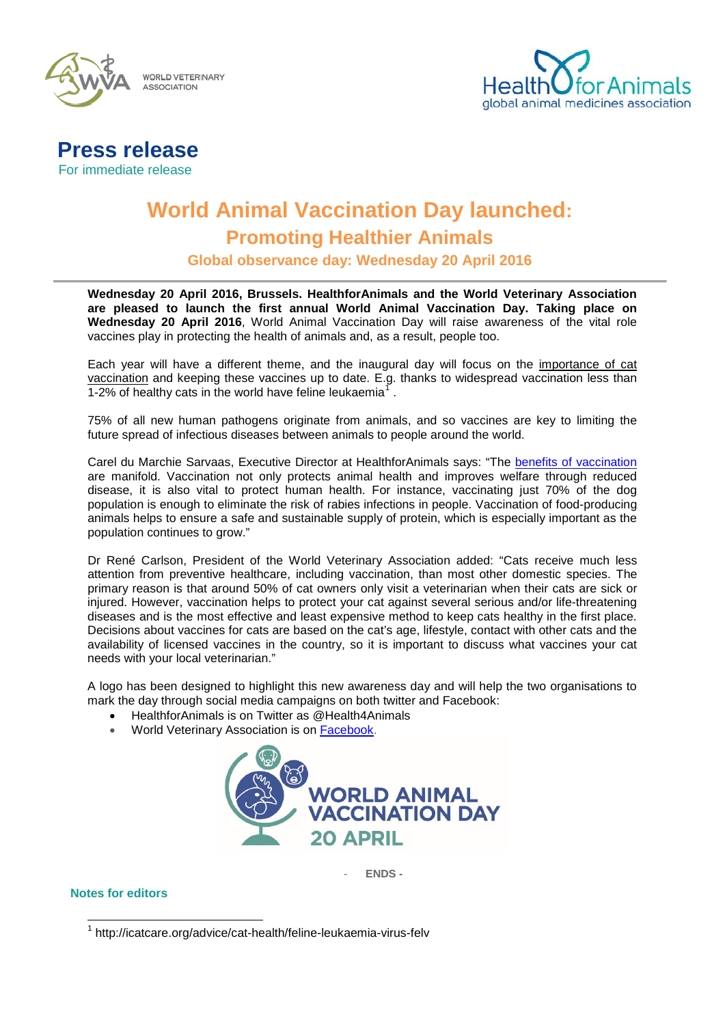

**WORLD VETERINARY ASSOCIATION** 



# **Press release** For immediate release

**World Animal Vaccination Day launched: Promoting Healthier Animals** 

**Global observance day: Wednesday 20 April 2016**

**Wednesday 20 April 2016, Brussels. HealthforAnimals and the World Veterinary Association are pleased to launch the first annual World Animal Vaccination Day. Taking place on Wednesday 20 April 2016**, World Animal Vaccination Day will raise awareness of the vital role vaccines play in protecting the health of animals and, as a result, people too.

Each year will have a different theme, and the inaugural day will focus on the importance of cat vaccination and keeping these vaccines up to date. E.g. thanks to widespread vaccination less than [1](#page-0-0)-2% of healthy cats in the world have feline leukaemia<sup>1</sup>.

75% of all new human pathogens originate from animals, and so vaccines are key to limiting the future spread of infectious diseases between animals to people around the world.

Carel du Marchie Sarvaas, Executive Director at HealthforAnimals says: "The [benefits of vaccination](http://healthforanimals.org/infographic-on-rabies-why-vaccines-matter/) are manifold. Vaccination not only protects animal health and improves welfare through reduced disease, it is also vital to protect human health. For instance, vaccinating just 70% of the dog population is enough to eliminate the risk of rabies infections in people. Vaccination of food-producing animals helps to ensure a safe and sustainable supply of protein, which is especially important as the population continues to grow."

Dr René Carlson, President of the World Veterinary Association added: "Cats receive much less attention from preventive healthcare, including vaccination, than most other domestic species. The primary reason is that around 50% of cat owners only visit a veterinarian when their cats are sick or injured. However, vaccination helps to protect your cat against several serious and/or life-threatening diseases and is the most effective and least expensive method to keep cats healthy in the first place. Decisions about vaccines for cats are based on the cat's age, lifestyle, contact with other cats and the availability of licensed vaccines in the country, so it is important to discuss what vaccines your cat needs with your local veterinarian."

A logo has been designed to highlight this new awareness day and will help the two organisations to mark the day through social media campaigns on both twitter and Facebook:

- HealthforAnimals is on Twitter as @Health4Animals
- World Veterinary Association is on [Facebook.](http://www.facebook.com/World-Veterinary-Association-120285644802536/?fref=ts)



- **ENDS -**

## <span id="page-0-0"></span>**Notes for editors**

 <sup>1</sup> http://icatcare.org/advice/cat-health/feline-leukaemia-virus-felv